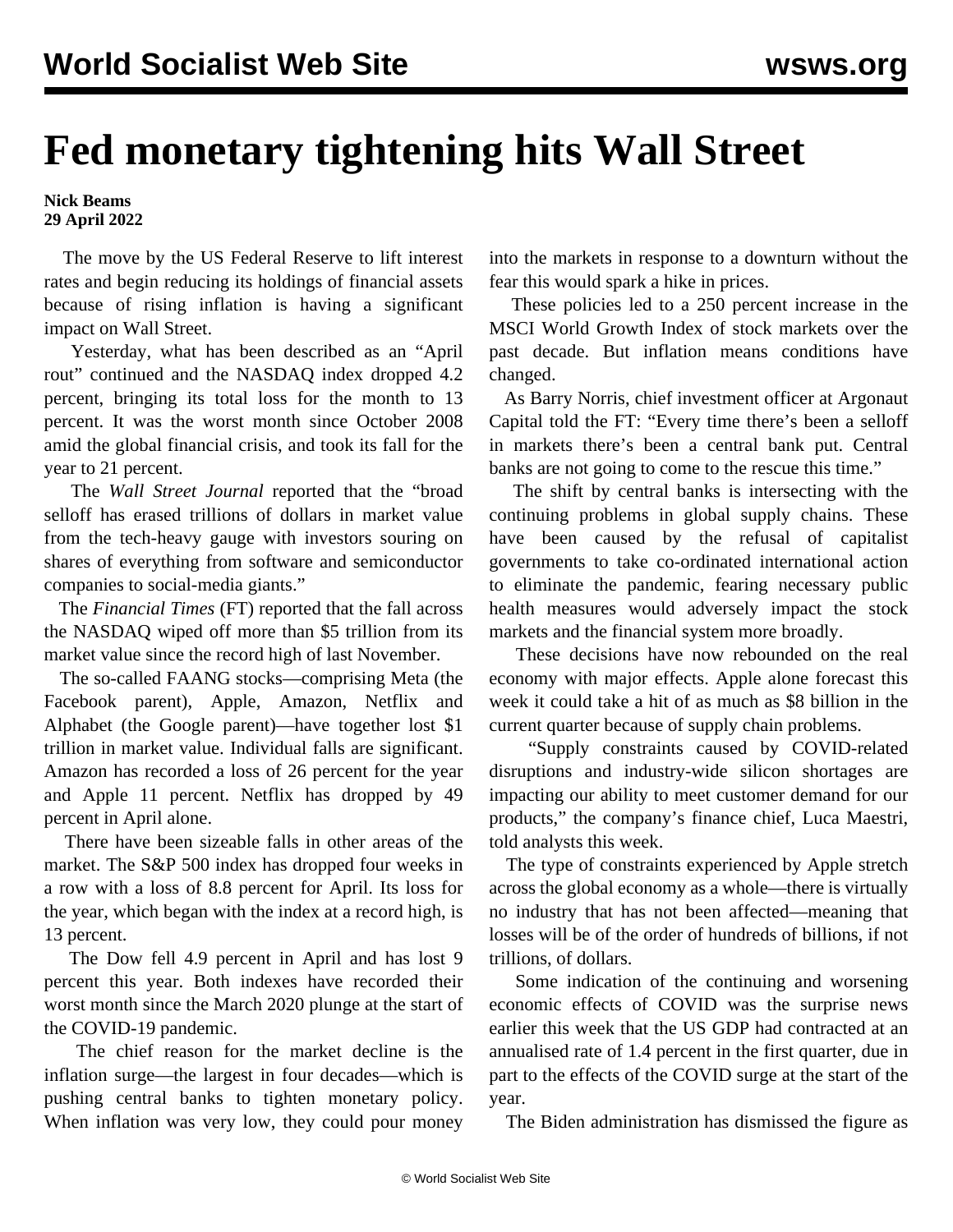## **Fed monetary tightening hits Wall Street**

## **Nick Beams 29 April 2022**

 The move by the US Federal Reserve to lift interest rates and begin reducing its holdings of financial assets because of rising inflation is having a significant impact on Wall Street.

 Yesterday, what has been described as an "April rout" continued and the NASDAQ index dropped 4.2 percent, bringing its total loss for the month to 13 percent. It was the worst month since October 2008 amid the global financial crisis, and took its fall for the year to 21 percent.

 The *Wall Street Journal* reported that the "broad selloff has erased trillions of dollars in market value from the tech-heavy gauge with investors souring on shares of everything from software and semiconductor companies to social-media giants."

 The *Financial Times* (FT) reported that the fall across the NASDAQ wiped off more than \$5 trillion from its market value since the record high of last November.

 The so-called FAANG stocks—comprising Meta (the Facebook parent), Apple, Amazon, Netflix and Alphabet (the Google parent)—have together lost \$1 trillion in market value. Individual falls are significant. Amazon has recorded a loss of 26 percent for the year and Apple 11 percent. Netflix has dropped by 49 percent in April alone.

 There have been sizeable falls in other areas of the market. The S&P 500 index has dropped four weeks in a row with a loss of 8.8 percent for April. Its loss for the year, which began with the index at a record high, is 13 percent.

 The Dow fell 4.9 percent in April and has lost 9 percent this year. Both indexes have recorded their worst month since the March 2020 plunge at the start of the COVID-19 pandemic.

 The chief reason for the market decline is the inflation surge—the largest in four decades—which is pushing central banks to tighten monetary policy. When inflation was very low, they could pour money

into the markets in response to a downturn without the fear this would spark a hike in prices.

 These policies led to a 250 percent increase in the MSCI World Growth Index of stock markets over the past decade. But inflation means conditions have changed.

 As Barry Norris, chief investment officer at Argonaut Capital told the FT: "Every time there's been a selloff in markets there's been a central bank put. Central banks are not going to come to the rescue this time."

 The shift by central banks is intersecting with the continuing problems in global supply chains. These have been caused by the refusal of capitalist governments to take co-ordinated international action to eliminate the pandemic, fearing necessary public health measures would adversely impact the stock markets and the financial system more broadly.

 These decisions have now rebounded on the real economy with major effects. Apple alone forecast this week it could take a hit of as much as \$8 billion in the current quarter because of supply chain problems.

 "Supply constraints caused by COVID-related disruptions and industry-wide silicon shortages are impacting our ability to meet customer demand for our products," the company's finance chief, Luca Maestri, told analysts this week.

 The type of constraints experienced by Apple stretch across the global economy as a whole—there is virtually no industry that has not been affected—meaning that losses will be of the order of hundreds of billions, if not trillions, of dollars.

 Some indication of the continuing and worsening economic effects of COVID was the surprise news earlier this week that the US GDP had contracted at an annualised rate of 1.4 percent in the first quarter, due in part to the effects of the COVID surge at the start of the year.

The Biden administration has dismissed the figure as